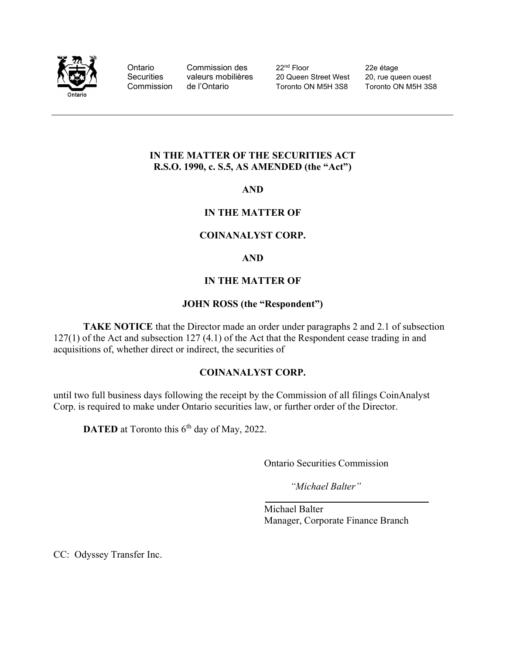

Ontario Commission des 22<sup>nd</sup> Floor 22e étage Securities valeurs mobilières 20 Queen Street West 20, rue queen ouest Commission de l'Ontario Toronto ON M5H 3S8

### IN THE MATTER OF THE SECURITIES ACT R.S.O. 1990, c. S.5, AS AMENDED (the "Act")

AND

## IN THE MATTER OF

### COINANALYST CORP.

#### AND

### IN THE MATTER OF

### JOHN ROSS (the "Respondent")

TAKE NOTICE that the Director made an order under paragraphs 2 and 2.1 of subsection 127(1) of the Act and subsection 127 (4.1) of the Act that the Respondent cease trading in and acquisitions of, whether direct or indirect, the securities of

#### COINANALYST CORP.

until two full business days following the receipt by the Commission of all filings CoinAnalyst Corp. is required to make under Ontario securities law, or further order of the Director.

**DATED** at Toronto this  $6<sup>th</sup>$  day of May, 2022.

Ontario Securities Commission

"Michael Balter"

 Michael Balter Manager, Corporate Finance Branch

CC: Odyssey Transfer Inc.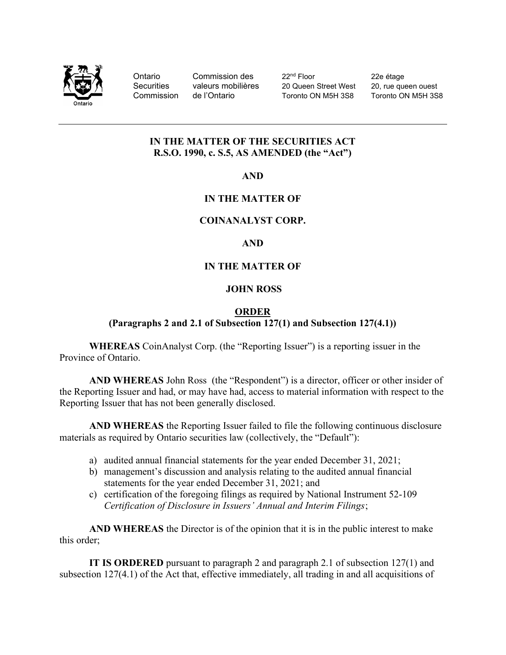

Ontario Commission des 22<sup>nd</sup> Floor 22e étage Securities valeurs mobilières 20 Queen Street West 20, rue queen ouest Commission de l'Ontario Toronto ON M5H 3S8 Toronto ON M5H 3S8

## IN THE MATTER OF THE SECURITIES ACT R.S.O. 1990, c. S.5, AS AMENDED (the "Act")

AND

# IN THE MATTER OF

## COINANALYST CORP.

## AND

# IN THE MATTER OF

## JOHN ROSS

### ORDER

## (Paragraphs 2 and 2.1 of Subsection 127(1) and Subsection 127(4.1))

WHEREAS CoinAnalyst Corp. (the "Reporting Issuer") is a reporting issuer in the Province of Ontario.

AND WHEREAS John Ross (the "Respondent") is a director, officer or other insider of the Reporting Issuer and had, or may have had, access to material information with respect to the Reporting Issuer that has not been generally disclosed.

AND WHEREAS the Reporting Issuer failed to file the following continuous disclosure materials as required by Ontario securities law (collectively, the "Default"):

- a) audited annual financial statements for the year ended December 31, 2021;
- b) management's discussion and analysis relating to the audited annual financial statements for the year ended December 31, 2021; and
- c) certification of the foregoing filings as required by National Instrument 52-109 Certification of Disclosure in Issuers' Annual and Interim Filings;

AND WHEREAS the Director is of the opinion that it is in the public interest to make this order;

 IT IS ORDERED pursuant to paragraph 2 and paragraph 2.1 of subsection 127(1) and subsection 127(4.1) of the Act that, effective immediately, all trading in and all acquisitions of